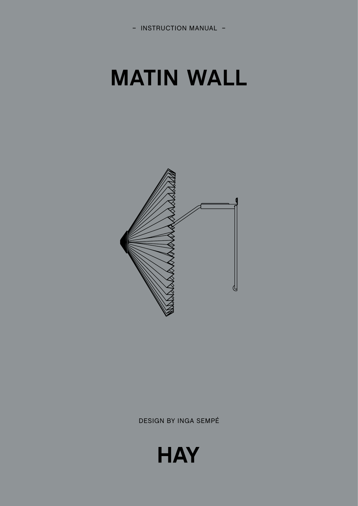## **MATIN WALL**



DESIGN BY INGA SEMPÉ

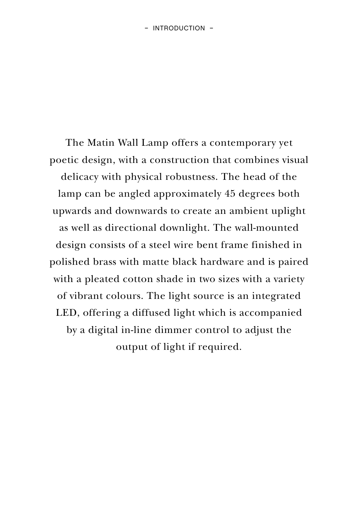The Matin Wall Lamp offers a contemporary yet poetic design, with a construction that combines visual delicacy with physical robustness. The head of the lamp can be angled approximately 45 degrees both upwards and downwards to create an ambient uplight as well as directional downlight. The wall-mounted design consists of a steel wire bent frame finished in polished brass with matte black hardware and is paired with a pleated cotton shade in two sizes with a variety of vibrant colours. The light source is an integrated LED, offering a diffused light which is accompanied by a digital in-line dimmer control to adjust the output of light if required.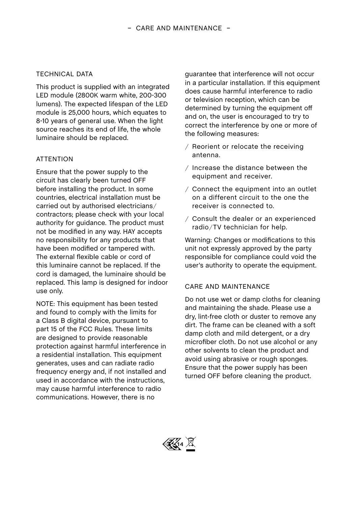## TECHNICAL DATA

This product is supplied with an integrated LED module (2800K warm white, 200-300 lumens). The expected lifespan of the LED module is 25,000 hours, which equates to 8-10 years of general use. When the light source reaches its end of life, the whole luminaire should be replaced.

## **ATTENTION**

Ensure that the power supply to the circuit has clearly been turned OFF before installing the product. In some countries, electrical installation must be carried out by authorised electricians/ contractors; please check with your local authority for guidance. The product must not be modified in any way. HAY accepts no responsibility for any products that have been modified or tampered with. The external flexible cable or cord of this luminaire cannot be replaced. If the cord is damaged, the luminaire should be replaced. This lamp is designed for indoor use only.

NOTE: This equipment has been tested and found to comply with the limits for a Class B digital device, pursuant to part 15 of the FCC Rules. These limits are designed to provide reasonable protection against harmful interference in a residential installation. This equipment generates, uses and can radiate radio frequency energy and, if not installed and used in accordance with the instructions, may cause harmful interference to radio communications. However, there is no

guarantee that interference will not occur in a particular installation. If this equipment does cause harmful interference to radio or television reception, which can be determined by turning the equipment off and on, the user is encouraged to try to correct the interference by one or more of the following measures:

- / Reorient or relocate the receiving antenna.
- / Increase the distance between the equipment and receiver.
- / Connect the equipment into an outlet on a different circuit to the one the receiver is connected to.
- / Consult the dealer or an experienced radio/TV technician for help.

Warning: Changes or modifications to this unit not expressly approved by the party responsible for compliance could void the user's authority to operate the equipment.

## CARE AND MAINTENANCE

Do not use wet or damp cloths for cleaning and maintaining the shade. Please use a dry, lint-free cloth or duster to remove any dirt. The frame can be cleaned with a soft damp cloth and mild detergent, or a dry microfiber cloth. Do not use alcohol or any other solvents to clean the product and avoid using abrasive or rough sponges. Ensure that the power supply has been turned OFF before cleaning the product.

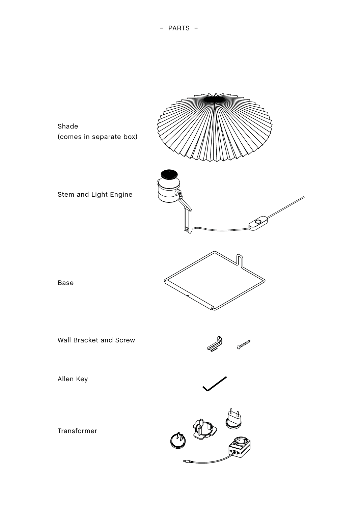– PARTS –

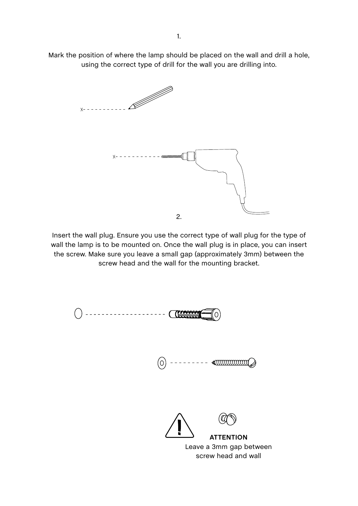Mark the position of where the lamp should be placed on the wall and drill a hole, using the correct type of drill for the wall you are drilling into.



Insert the wall plug. Ensure you use the correct type of wall plug for the type of wall the lamp is to be mounted on. Once the wall plug is in place, you can insert the screw. Make sure you leave a small gap (approximately 3mm) between the screw head and the wall for the mounting bracket.

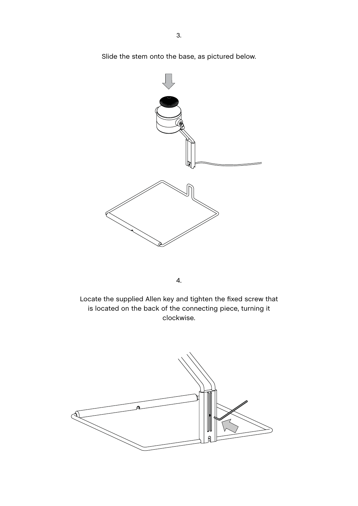Slide the stem onto the base, as pictured below.



4.

Locate the supplied Allen key and tighten the fixed screw that is located on the back of the connecting piece, turning it clockwise.

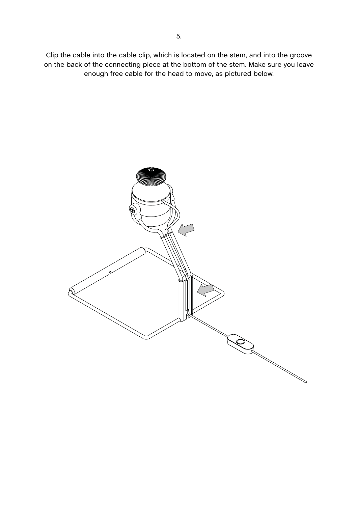Clip the cable into the cable clip, which is located on the stem, and into the groove on the back of the connecting piece at the bottom of the stem. Make sure you leave enough free cable for the head to move, as pictured below.

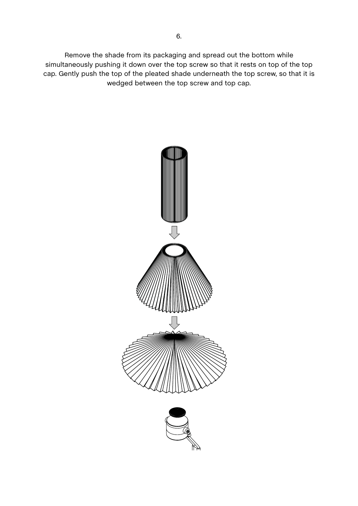Remove the shade from its packaging and spread out the bottom while simultaneously pushing it down over the top screw so that it rests on top of the top cap. Gently push the top of the pleated shade underneath the top screw, so that it is wedged between the top screw and top cap.

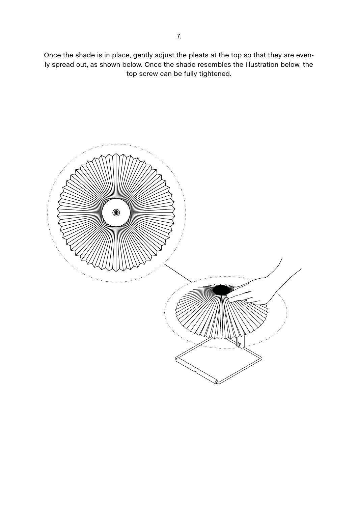Once the shade is in place, gently adjust the pleats at the top so that they are evenly spread out, as shown below. Once the shade resembles the illustration below, the top screw can be fully tightened.

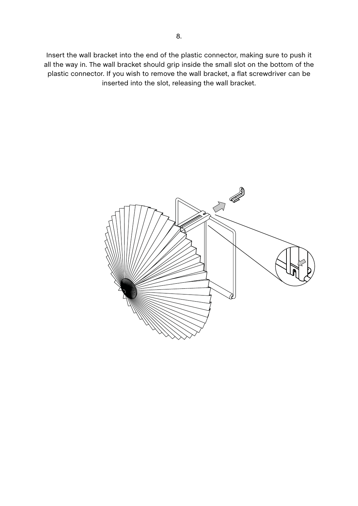Insert the wall bracket into the end of the plastic connector, making sure to push it all the way in. The wall bracket should grip inside the small slot on the bottom of the plastic connector. If you wish to remove the wall bracket, a flat screwdriver can be inserted into the slot, releasing the wall bracket.

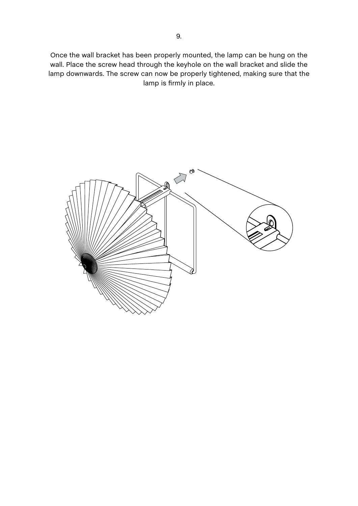Once the wall bracket has been properly mounted, the lamp can be hung on the wall. Place the screw head through the keyhole on the wall bracket and slide the lamp downwards. The screw can now be properly tightened, making sure that the lamp is firmly in place.

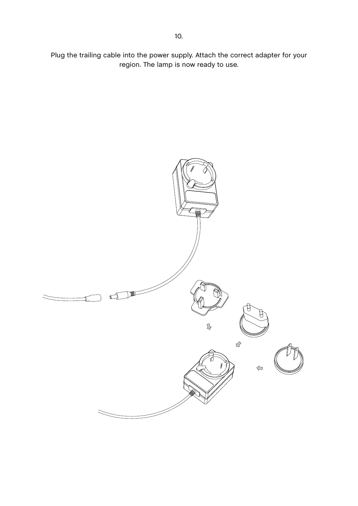Plug the trailing cable into the power supply. Attach the correct adapter for your region. The lamp is now ready to use.

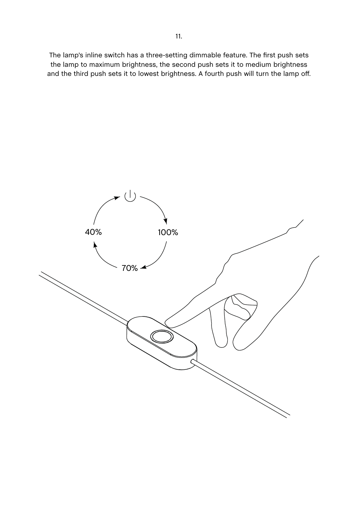The lamp's inline switch has a three-setting dimmable feature. The first push sets the lamp to maximum brightness, the second push sets it to medium brightness and the third push sets it to lowest brightness. A fourth push will turn the lamp off.

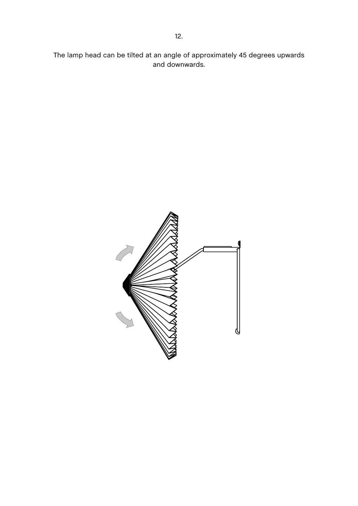The lamp head can be tilted at an angle of approximately 45 degrees upwards and downwards.